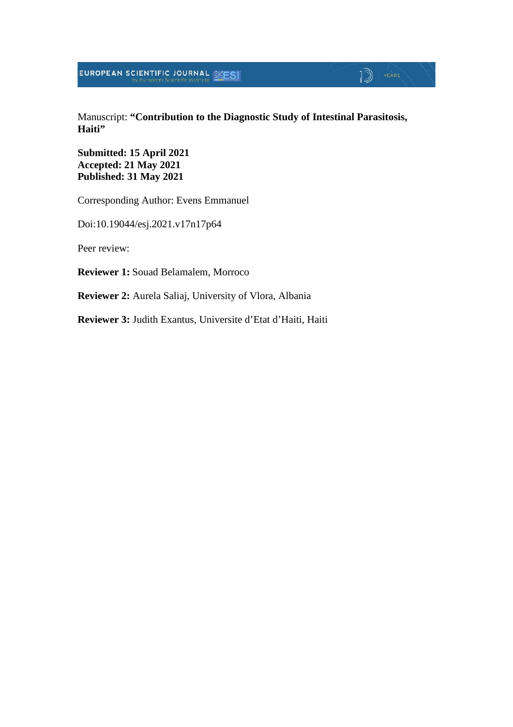Manuscript: **"Contribution to the Diagnostic Study of Intestinal Parasitosis, Haiti"**

 $\mathbb{D}$  YEARS

**Submitted: 15 April 2021 Accepted: 21 May 2021 Published: 31 May 2021**

Corresponding Author: Evens Emmanuel

Doi:10.19044/esj.2021.v17n17p64

Peer review:

**Reviewer 1:** Souad Belamalem, Morroco

**Reviewer 2:** Aurela Saliaj, University of Vlora, Albania

**Reviewer 3:** Judith Exantus, Universite d'Etat d'Haiti, Haiti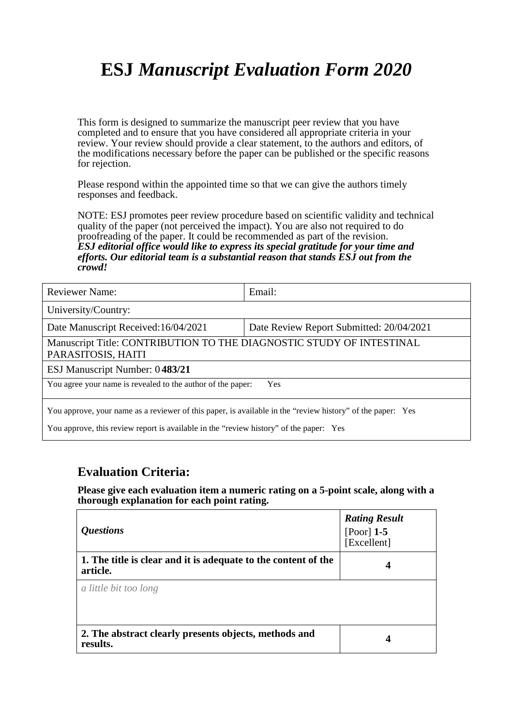# **ESJ** *Manuscript Evaluation Form 2020*

This form is designed to summarize the manuscript peer review that you have completed and to ensure that you have considered all appropriate criteria in your review. Your review should provide a clear statement, to the authors and editors, of the modifications necessary before the paper can be published or the specific reasons for rejection.

Please respond within the appointed time so that we can give the authors timely responses and feedback.

NOTE: ESJ promotes peer review procedure based on scientific validity and technical quality of the paper (not perceived the impact). You are also not required to do proofreading of the paper. It could be recommended as part of the revision. *ESJ editorial office would like to express its special gratitude for your time and efforts. Our editorial team is a substantial reason that stands ESJ out from the crowd!* 

| <b>Reviewer Name:</b>                                                                                      | Email:                                   |  |
|------------------------------------------------------------------------------------------------------------|------------------------------------------|--|
| University/Country:                                                                                        |                                          |  |
| Date Manuscript Received: 16/04/2021                                                                       | Date Review Report Submitted: 20/04/2021 |  |
| Manuscript Title: CONTRIBUTION TO THE DIAGNOSTIC STUDY OF INTESTINAL<br>PARASITOSIS, HAITI                 |                                          |  |
| ESJ Manuscript Number: 0483/21                                                                             |                                          |  |
| You agree your name is revealed to the author of the paper:<br>Yes                                         |                                          |  |
| You approve, your name as a reviewer of this paper, is available in the "review history" of the paper: Yes |                                          |  |
| You approve, this review report is available in the "review history" of the paper: Yes                     |                                          |  |

#### **Evaluation Criteria:**

**Please give each evaluation item a numeric rating on a 5-point scale, along with a thorough explanation for each point rating.**

| <i><b>Questions</b></i>                                                    | <b>Rating Result</b><br>[Poor] $1-5$<br>[Excellent] |
|----------------------------------------------------------------------------|-----------------------------------------------------|
| 1. The title is clear and it is adequate to the content of the<br>article. | 4                                                   |
| a little bit too long                                                      |                                                     |
| 2. The abstract clearly presents objects, methods and<br>results.          | 4                                                   |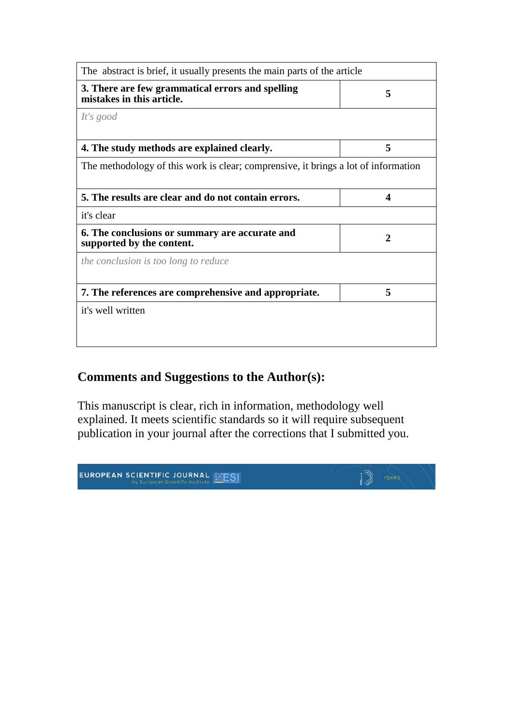| The abstract is brief, it usually presents the main parts of the article           |   |
|------------------------------------------------------------------------------------|---|
| 3. There are few grammatical errors and spelling<br>mistakes in this article.      | 5 |
| It's good                                                                          |   |
| 4. The study methods are explained clearly.                                        | 5 |
| The methodology of this work is clear; comprensive, it brings a lot of information |   |
| 5. The results are clear and do not contain errors.                                | 4 |
| it's clear                                                                         |   |
| 6. The conclusions or summary are accurate and<br>supported by the content.        | 2 |
| the conclusion is too long to reduce                                               |   |
| 7. The references are comprehensive and appropriate.                               | 5 |
|                                                                                    |   |

### **Comments and Suggestions to the Author(s):**

This manuscript is clear, rich in information, methodology well explained. It meets scientific standards so it will require subsequent publication in your journal after the corrections that I submitted you.

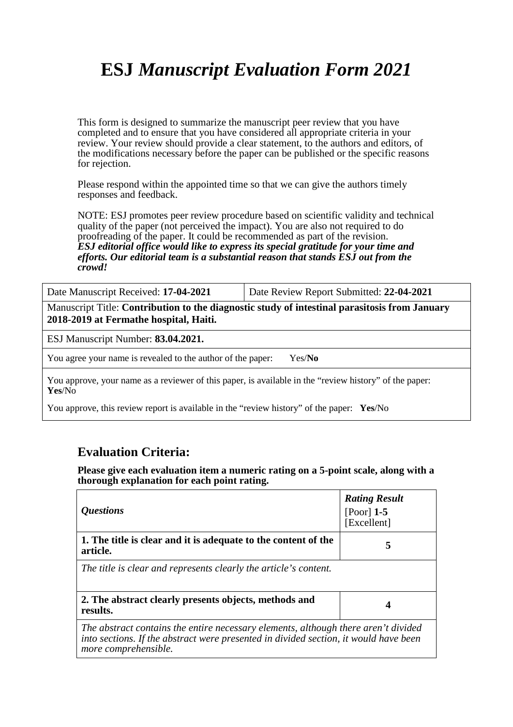# **ESJ** *Manuscript Evaluation Form 2021*

This form is designed to summarize the manuscript peer review that you have completed and to ensure that you have considered all appropriate criteria in your review. Your review should provide a clear statement, to the authors and editors, of the modifications necessary before the paper can be published or the specific reasons for rejection.

Please respond within the appointed time so that we can give the authors timely responses and feedback.

NOTE: ESJ promotes peer review procedure based on scientific validity and technical quality of the paper (not perceived the impact). You are also not required to do proofreading of the paper. It could be recommended as part of the revision. *ESJ editorial office would like to express its special gratitude for your time and efforts. Our editorial team is a substantial reason that stands ESJ out from the crowd!* 

Date Manuscript Received: **17-04-2021** Date Review Report Submitted: **22-04-2021**

Manuscript Title: **Contribution to the diagnostic study of intestinal parasitosis from January 2018-2019 at Fermathe hospital, Haiti.**

ESJ Manuscript Number: **83.04.2021.**

You agree your name is revealed to the author of the paper: Yes/**No**

You approve, your name as a reviewer of this paper, is available in the "review history" of the paper: **Yes**/No

You approve, this review report is available in the "review history" of the paper: **Yes**/No

#### **Evaluation Criteria:**

**Please give each evaluation item a numeric rating on a 5-point scale, along with a thorough explanation for each point rating.**

| <i><b>Questions</b></i>                                                                                                                                                                            | <b>Rating Result</b><br>[Poor] $1-5$<br>[Excellent] |
|----------------------------------------------------------------------------------------------------------------------------------------------------------------------------------------------------|-----------------------------------------------------|
| 1. The title is clear and it is adequate to the content of the<br>article.                                                                                                                         | 5                                                   |
| The title is clear and represents clearly the article's content.                                                                                                                                   |                                                     |
| 2. The abstract clearly presents objects, methods and<br>results.                                                                                                                                  | 4                                                   |
| The abstract contains the entire necessary elements, although there aren't divided<br>into sections. If the abstract were presented in divided section, it would have been<br>more comprehensible. |                                                     |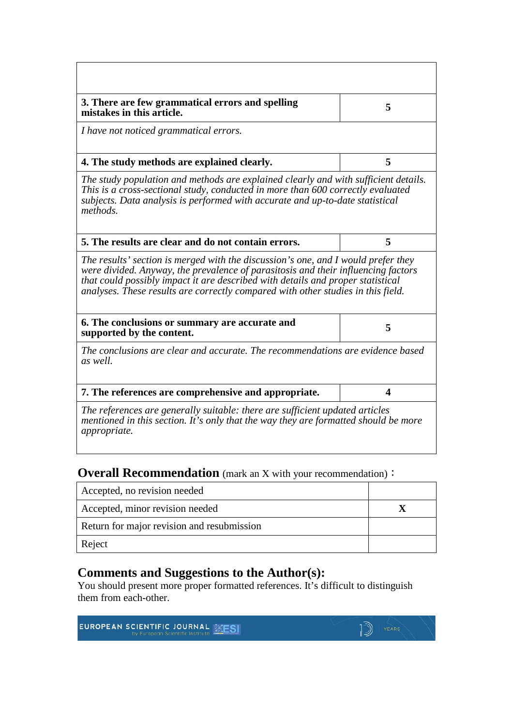| 3. There are few grammatical errors and spelling<br>mistakes in this article.                                                                                                                                                                                                                                                                 | 5                |
|-----------------------------------------------------------------------------------------------------------------------------------------------------------------------------------------------------------------------------------------------------------------------------------------------------------------------------------------------|------------------|
| I have not noticed grammatical errors.                                                                                                                                                                                                                                                                                                        |                  |
| 4. The study methods are explained clearly.                                                                                                                                                                                                                                                                                                   | 5                |
| The study population and methods are explained clearly and with sufficient details.<br>This is a cross-sectional study, conducted in more than 600 correctly evaluated<br>subjects. Data analysis is performed with accurate and up-to-date statistical<br>methods.                                                                           |                  |
| 5. The results are clear and do not contain errors.                                                                                                                                                                                                                                                                                           | 5                |
| The results' section is merged with the discussion's one, and I would prefer they<br>were divided. Anyway, the prevalence of parasitosis and their influencing factors<br>that could possibly impact it are described with details and proper statistical<br>analyses. These results are correctly compared with other studies in this field. |                  |
| 6. The conclusions or summary are accurate and<br>supported by the content.                                                                                                                                                                                                                                                                   | 5                |
| The conclusions are clear and accurate. The recommendations are evidence based<br>as well.                                                                                                                                                                                                                                                    |                  |
| 7. The references are comprehensive and appropriate.                                                                                                                                                                                                                                                                                          | $\boldsymbol{4}$ |
| The references are generally suitable: there are sufficient updated articles<br>mentioned in this section. It's only that the way they are formatted should be more<br>appropriate.                                                                                                                                                           |                  |

### **Overall Recommendation** (mark an X with your recommendation):

| Accepted, no revision needed               |  |
|--------------------------------------------|--|
| Accepted, minor revision needed            |  |
| Return for major revision and resubmission |  |
| Reject                                     |  |

### **Comments and Suggestions to the Author(s):**

You should present more proper formatted references. It's difficult to distinguish them from each-other.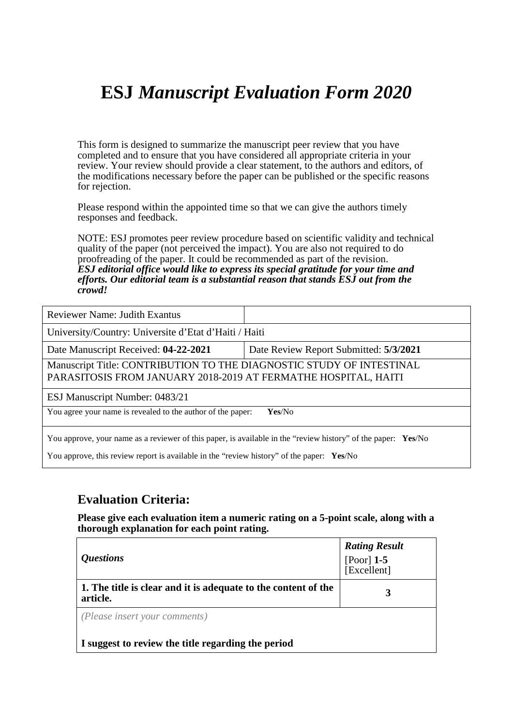## **ESJ** *Manuscript Evaluation Form 2020*

This form is designed to summarize the manuscript peer review that you have completed and to ensure that you have considered all appropriate criteria in your review. Your review should provide a clear statement, to the authors and editors, of the modifications necessary before the paper can be published or the specific reasons for rejection.

Please respond within the appointed time so that we can give the authors timely responses and feedback.

NOTE: ESJ promotes peer review procedure based on scientific validity and technical quality of the paper (not perceived the impact). You are also not required to do proofreading of the paper. It could be recommended as part of the revision. *ESJ editorial office would like to express its special gratitude for your time and efforts. Our editorial team is a substantial reason that stands ESJ out from the crowd!* 

| <b>Reviewer Name: Judith Exantus</b>                                                                                                   |                                        |
|----------------------------------------------------------------------------------------------------------------------------------------|----------------------------------------|
| University/Country: Universite d'Etat d'Haiti / Haiti                                                                                  |                                        |
| Date Manuscript Received: 04-22-2021                                                                                                   | Date Review Report Submitted: 5/3/2021 |
| Manuscript Title: CONTRIBUTION TO THE DIAGNOSTIC STUDY OF INTESTINAL<br>PARASITOSIS FROM JANUARY 2018-2019 AT FERMATHE HOSPITAL, HAITI |                                        |
| ESJ Manuscript Number: 0483/21                                                                                                         |                                        |
| You agree your name is revealed to the author of the paper:<br>Yes/No                                                                  |                                        |
| You approve, your name as a reviewer of this paper, is available in the "review history" of the paper: Yes/No                          |                                        |

You approve, this review report is available in the "review history" of the paper: **Yes**/No

#### **Evaluation Criteria:**

**Please give each evaluation item a numeric rating on a 5-point scale, along with a thorough explanation for each point rating.**

| <i><b>Questions</b></i>                                                    | <b>Rating Result</b><br>[Poor] $1-5$<br>[Excellent] |
|----------------------------------------------------------------------------|-----------------------------------------------------|
| 1. The title is clear and it is adequate to the content of the<br>article. |                                                     |
| (Please insert your comments)                                              |                                                     |
| I suggest to review the title regarding the period                         |                                                     |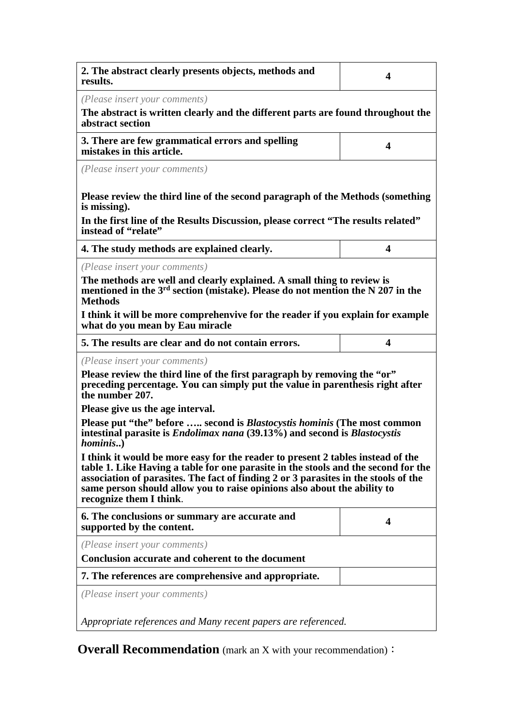| 2. The abstract clearly presents objects, methods and<br>results.                                                                                                                                                                                                                                                                                                   | 4 |  |
|---------------------------------------------------------------------------------------------------------------------------------------------------------------------------------------------------------------------------------------------------------------------------------------------------------------------------------------------------------------------|---|--|
| (Please insert your comments)<br>The abstract is written clearly and the different parts are found throughout the<br>abstract section                                                                                                                                                                                                                               |   |  |
| 3. There are few grammatical errors and spelling<br>mistakes in this article.                                                                                                                                                                                                                                                                                       | 4 |  |
| (Please insert your comments)                                                                                                                                                                                                                                                                                                                                       |   |  |
| Please review the third line of the second paragraph of the Methods (something<br>is missing).                                                                                                                                                                                                                                                                      |   |  |
| In the first line of the Results Discussion, please correct "The results related"<br>instead of "relate"                                                                                                                                                                                                                                                            |   |  |
| 4. The study methods are explained clearly.                                                                                                                                                                                                                                                                                                                         | 4 |  |
| (Please insert your comments)<br>The methods are well and clearly explained. A small thing to review is<br>mentioned in the 3 <sup>rd</sup> section (mistake). Please do not mention the N 207 in the<br><b>Methods</b>                                                                                                                                             |   |  |
| I think it will be more comprehenvive for the reader if you explain for example<br>what do you mean by Eau miracle                                                                                                                                                                                                                                                  |   |  |
| 5. The results are clear and do not contain errors.                                                                                                                                                                                                                                                                                                                 | 4 |  |
| (Please insert your comments)<br>Please review the third line of the first paragraph by removing the "or"<br>preceding percentage. You can simply put the value in parenthesis right after<br>the number 207.                                                                                                                                                       |   |  |
| Please give us the age interval.                                                                                                                                                                                                                                                                                                                                    |   |  |
| Please put "the" before  second is <i>Blastocystis hominis</i> (The most common<br>intestinal parasite is <i>Endolimax nana</i> (39.13%) and second is <i>Blastocystis</i><br><i>hominis</i> )                                                                                                                                                                      |   |  |
| I think it would be more easy for the reader to present 2 tables instead of the<br>table 1. Like Having a table for one parasite in the stools and the second for the<br>association of parasites. The fact of finding 2 or 3 parasites in the stools of the<br>same person should allow you to raise opinions also about the ability to<br>recognize them I think. |   |  |
| 6. The conclusions or summary are accurate and<br>supported by the content.                                                                                                                                                                                                                                                                                         | 4 |  |
| (Please insert your comments)                                                                                                                                                                                                                                                                                                                                       |   |  |
| Conclusion accurate and coherent to the document                                                                                                                                                                                                                                                                                                                    |   |  |
| 7. The references are comprehensive and appropriate.                                                                                                                                                                                                                                                                                                                |   |  |
| (Please insert your comments)                                                                                                                                                                                                                                                                                                                                       |   |  |
| Appropriate references and Many recent papers are referenced.                                                                                                                                                                                                                                                                                                       |   |  |

**Overall Recommendation** (mark an X with your recommendation):